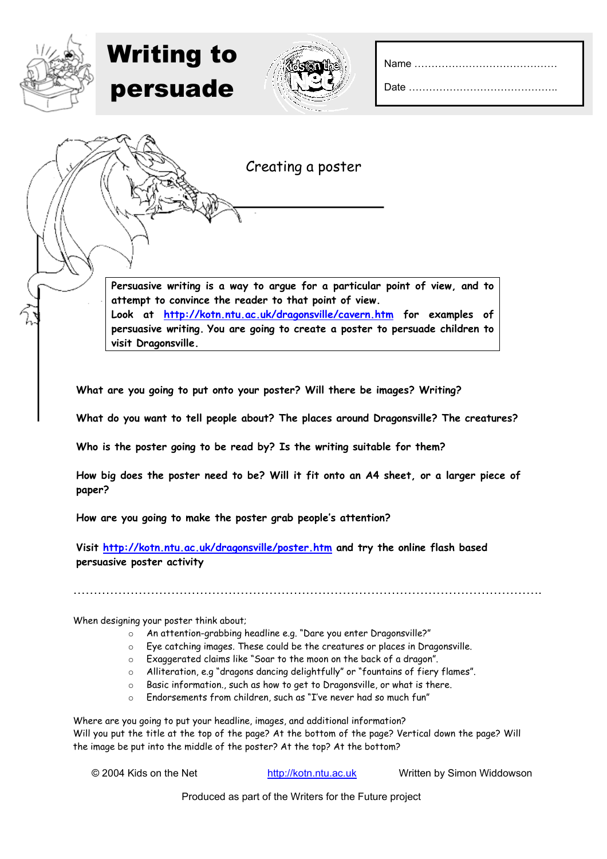Date ....

| <b>Writing to</b><br>persuade |                   |  |
|-------------------------------|-------------------|--|
|                               | Creating a poster |  |
|                               |                   |  |

**Persuasive writing is a way to argue for a particular point of view, and to attempt to convince the reader to that point of view. Look at <http://kotn.ntu.ac.uk/dragonsville/cavern.htm>for examples of persuasive writing. You are going to create a poster to persuade children to visit Dragonsville.**

**What are you going to put onto your poster? Will there be images? Writing?**

**What do you want to tell people about? The places around Dragonsville? The creatures?** 

**Who is the poster going to be read by? Is the writing suitable for them?** 

**How big does the poster need to be? Will it fit onto an A4 sheet, or a larger piece of paper?** 

**How are you going to make the poster grab people's attention?** 

**Visit<http://kotn.ntu.ac.uk/dragonsville/poster.htm> and try the online flash based persuasive poster activity** 

When designing your poster think about;

- o An attention-grabbing headline e.g. "Dare you enter Dragonsville?"
- o Eye catching images. These could be the creatures or places in Dragonsville.

…………………………………………………………………………………………………….

- o Exaggerated claims like "Soar to the moon on the back of a dragon".
- Alliteration, e.g "dragons dancing delightfully" or "fountains of fiery flames".
- o Basic information., such as how to get to Dragonsville, or what is there.
- o Endorsements from children, such as "I've never had so much fun"

Where are you going to put your headline, images, and additional information? Will you put the title at the top of the page? At the bottom of the page? Vertical down the page? Will the image be put into the middle of the poster? At the top? At the bottom?

© 2004 Kids on the Net http://kotn.ntu.ac.uk Written by Simon Widdowson

Produced as part of the Writers for the Future project